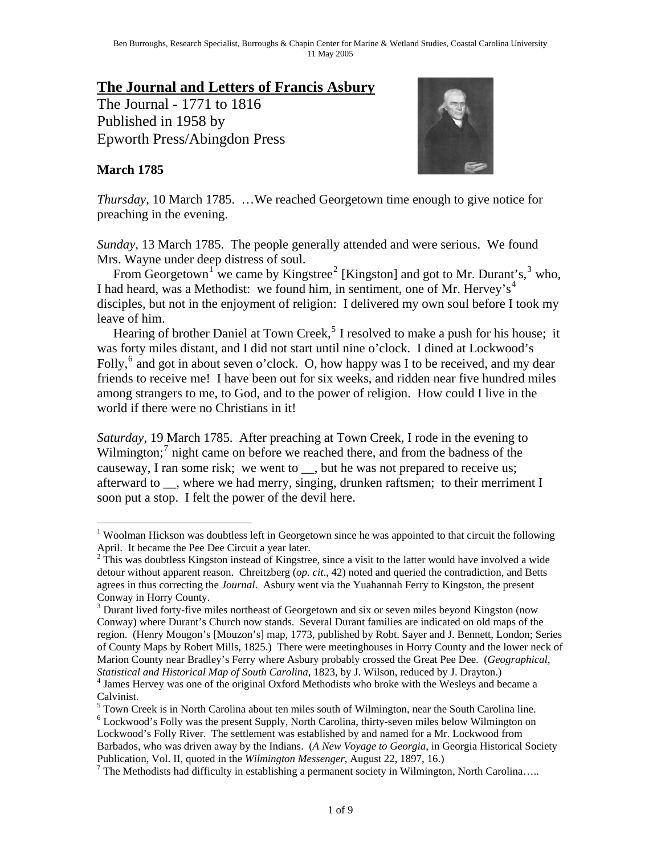# **The Journal and Letters of Francis Asbury**

The Journal - 1771 to 1816 Published in 1958 by Epworth Press/Abingdon Press

### **March 1785**



*Thursday*, 10 March 1785. …We reached Georgetown time enough to give notice for preaching in the evening.

*Sunday*, 13 March 1785. The people generally attended and were serious. We found Mrs. Wayne under deep distress of soul.

From Georgetown<sup>[1](#page-0-0)</sup> we came by Kingstree<sup>[2](#page-0-1)</sup> [Kingston] and got to Mr. Durant's,  $3 \text{ who}$  $3 \text{ who}$ , I had heard, was a Methodist: we found him, in sentiment, one of Mr. Hervey's<sup>[4](#page-0-3)</sup> disciples, but not in the enjoyment of religion: I delivered my own soul before I took my leave of him.

Hearing of brother Daniel at Town Creek,<sup>[5](#page-0-4)</sup> I resolved to make a push for his house; it was forty miles distant, and I did not start until nine o'clock. I dined at Lockwood's Folly,<sup>[6](#page-0-5)</sup> and got in about seven o'clock. O, how happy was I to be received, and my dear friends to receive me! I have been out for six weeks, and ridden near five hundred miles among strangers to me, to God, and to the power of religion. How could I live in the world if there were no Christians in it!

*Saturday*, 19 March 1785. After preaching at Town Creek, I rode in the evening to Wilmington;<sup>[7](#page-0-6)</sup> night came on before we reached there, and from the badness of the causeway, I ran some risk; we went to \_\_, but he was not prepared to receive us; afterward to , where we had merry, singing, drunken raftsmen; to their merriment I soon put a stop. I felt the power of the devil here.

 $\overline{a}$ 

 $^5$  Town Creek is in North Carolina about ten miles south of Wilmington, near the South Carolina line.

<span id="page-0-0"></span><sup>&</sup>lt;sup>1</sup> Woolman Hickson was doubtless left in Georgetown since he was appointed to that circuit the following April. It became the Pee Dee Circuit a year later.

<span id="page-0-1"></span> $2\hat{T}$ his was doubtless Kingston instead of Kingstree, since a visit to the latter would have involved a wide detour without apparent reason. Chreitzberg (*op. cit*., 42) noted and queried the contradiction, and Betts agrees in thus correcting the *Journal*. Asbury went via the Yuahannah Ferry to Kingston, the present Conway in Horry County.

<span id="page-0-2"></span><sup>&</sup>lt;sup>3</sup> Durant lived forty-five miles northeast of Georgetown and six or seven miles beyond Kingston (now Conway) where Durant's Church now stands. Several Durant families are indicated on old maps of the region. (Henry Mougon's [Mouzon's] map, 1773, published by Robt. Sayer and J. Bennett, London; Series of County Maps by Robert Mills, 1825.) There were meetinghouses in Horry County and the lower neck of Marion County near Bradley's Ferry where Asbury probably crossed the Great Pee Dee. (*Geographical, Statistical and Historical Map of South Carolina*, 1823, by J. Wilson, reduced by J. Drayton.) 4 <sup>4</sup> James Hervey was one of the original Oxford Methodists who broke with the Wesleys and became a

<span id="page-0-3"></span>Calvinist.

<span id="page-0-5"></span><span id="page-0-4"></span><sup>&</sup>lt;sup>6</sup> Lockwood's Folly was the present Supply, North Carolina, thirty-seven miles below Wilmington on Lockwood's Folly River. The settlement was established by and named for a Mr. Lockwood from Barbados, who was driven away by the Indians. (*A New Voyage to Georgia*, in Georgia Historical Society Publication, Vol. II, quoted in the *Wilmington Messenger*, August 22, 1897, 16.) 7

<span id="page-0-6"></span> $^7$  The Methodists had difficulty in establishing a permanent society in Wilmington, North Carolina.....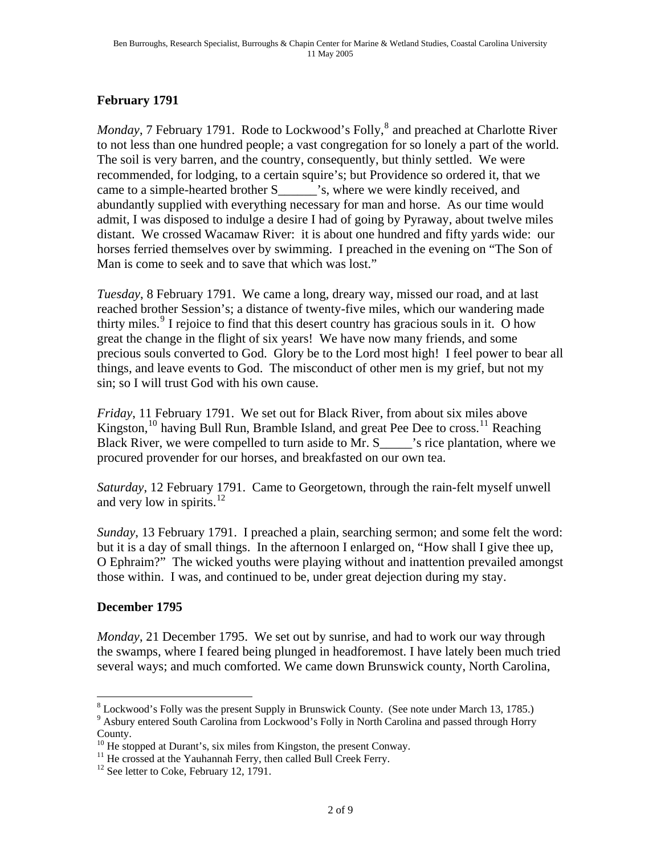## **February 1791**

*Monday*, 7 February 1791. Rode to Lockwood's Folly,<sup>[8](#page-1-0)</sup> and preached at Charlotte River to not less than one hundred people; a vast congregation for so lonely a part of the world. The soil is very barren, and the country, consequently, but thinly settled. We were recommended, for lodging, to a certain squire's; but Providence so ordered it, that we came to a simple-hearted brother S\_\_\_\_\_\_'s, where we were kindly received, and abundantly supplied with everything necessary for man and horse. As our time would admit, I was disposed to indulge a desire I had of going by Pyraway, about twelve miles distant. We crossed Wacamaw River: it is about one hundred and fifty yards wide: our horses ferried themselves over by swimming. I preached in the evening on "The Son of Man is come to seek and to save that which was lost."

*Tuesday*, 8 February 1791. We came a long, dreary way, missed our road, and at last reached brother Session's; a distance of twenty-five miles, which our wandering made thirty miles.<sup>[9](#page-1-1)</sup> I rejoice to find that this desert country has gracious souls in it. O how great the change in the flight of six years! We have now many friends, and some precious souls converted to God. Glory be to the Lord most high! I feel power to bear all things, and leave events to God. The misconduct of other men is my grief, but not my sin; so I will trust God with his own cause.

*Friday*, 11 February 1791. We set out for Black River, from about six miles above Kingston,<sup>[10](#page-1-2)</sup> having Bull Run, Bramble Island, and great Pee Dee to cross.<sup>[11](#page-1-3)</sup> Reaching Black River, we were compelled to turn aside to Mr. S is rice plantation, where we procured provender for our horses, and breakfasted on our own tea.

*Saturday*, 12 February 1791. Came to Georgetown, through the rain-felt myself unwell and very low in spirits. $^{12}$  $^{12}$  $^{12}$ 

*Sunday*, 13 February 1791. I preached a plain, searching sermon; and some felt the word: but it is a day of small things. In the afternoon I enlarged on, "How shall I give thee up, O Ephraim?" The wicked youths were playing without and inattention prevailed amongst those within. I was, and continued to be, under great dejection during my stay.

### **December 1795**

 $\overline{a}$ 

*Monday*, 21 December 1795. We set out by sunrise, and had to work our way through the swamps, where I feared being plunged in headforemost. I have lately been much tried several ways; and much comforted. We came down Brunswick county, North Carolina,

<span id="page-1-1"></span><span id="page-1-0"></span> $8$  Lockwood's Folly was the present Supply in Brunswick County. (See note under March 13, 1785.) <sup>9</sup> Asbury entered South Carolina from Lockwood's Folly in North Carolina and passed through Horry County.

<sup>&</sup>lt;sup>10</sup> He stopped at Durant's, six miles from Kingston, the present Conway.

<span id="page-1-3"></span><span id="page-1-2"></span><sup>&</sup>lt;sup>11</sup> He crossed at the Yauhannah Ferry, then called Bull Creek Ferry.

<span id="page-1-4"></span> $12$  See letter to Coke, February 12, 1791.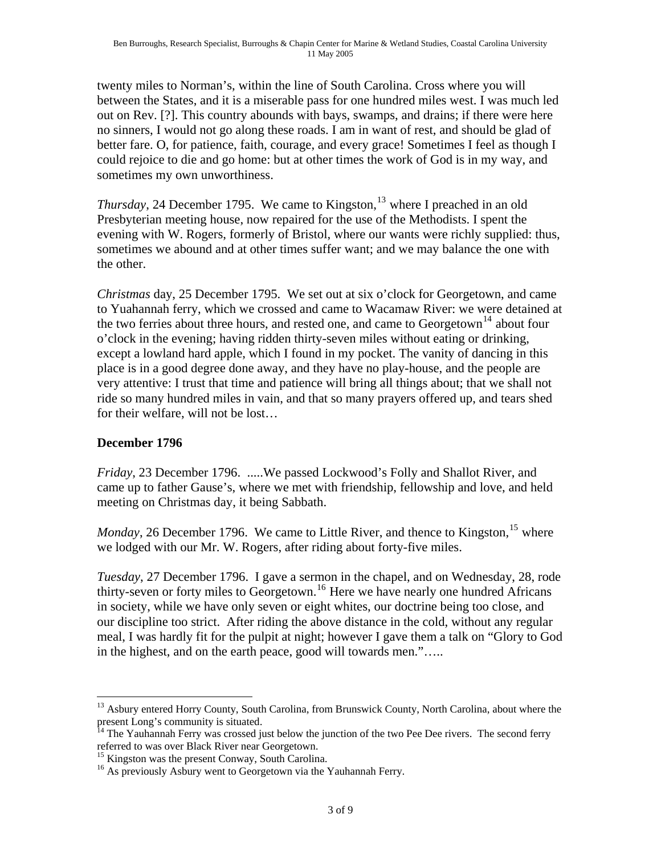twenty miles to Norman's, within the line of South Carolina. Cross where you will between the States, and it is a miserable pass for one hundred miles west. I was much led out on Rev. [?]. This country abounds with bays, swamps, and drains; if there were here no sinners, I would not go along these roads. I am in want of rest, and should be glad of better fare. O, for patience, faith, courage, and every grace! Sometimes I feel as though I could rejoice to die and go home: but at other times the work of God is in my way, and sometimes my own unworthiness.

*Thursday*, 24 December 1795. We came to Kingston,<sup>[13](#page-2-0)</sup> where I preached in an old Presbyterian meeting house, now repaired for the use of the Methodists. I spent the evening with W. Rogers, formerly of Bristol, where our wants were richly supplied: thus, sometimes we abound and at other times suffer want; and we may balance the one with the other.

*Christmas* day, 25 December 1795. We set out at six o'clock for Georgetown, and came to Yuahannah ferry, which we crossed and came to Wacamaw River: we were detained at the two ferries about three hours, and rested one, and came to  $Georgetown<sup>14</sup>$  $Georgetown<sup>14</sup>$  $Georgetown<sup>14</sup>$  about four o'clock in the evening; having ridden thirty-seven miles without eating or drinking, except a lowland hard apple, which I found in my pocket. The vanity of dancing in this place is in a good degree done away, and they have no play-house, and the people are very attentive: I trust that time and patience will bring all things about; that we shall not ride so many hundred miles in vain, and that so many prayers offered up, and tears shed for their welfare, will not be lost…

## **December 1796**

*Friday*, 23 December 1796. .....We passed Lockwood's Folly and Shallot River, and came up to father Gause's, where we met with friendship, fellowship and love, and held meeting on Christmas day, it being Sabbath.

*Monday*, 26 December 1796. We came to Little River, and thence to Kingston, <sup>[15](#page-2-2)</sup> where we lodged with our Mr. W. Rogers, after riding about forty-five miles.

*Tuesday*, 27 December 1796. I gave a sermon in the chapel, and on Wednesday, 28, rode thirty-seven or forty miles to Georgetown.[16](#page-2-3) Here we have nearly one hundred Africans in society, while we have only seven or eight whites, our doctrine being too close, and our discipline too strict. After riding the above distance in the cold, without any regular meal, I was hardly fit for the pulpit at night; however I gave them a talk on "Glory to God in the highest, and on the earth peace, good will towards men."…..

<span id="page-2-0"></span> $\overline{a}$ <sup>13</sup> Asbury entered Horry County, South Carolina, from Brunswick County, North Carolina, about where the present Long's community is situated.

<span id="page-2-1"></span><sup>&</sup>lt;sup>14</sup> The Yauhannah Ferry was crossed just below the junction of the two Pee Dee rivers. The second ferry referred to was over Black River near Georgetown.

<span id="page-2-2"></span><sup>&</sup>lt;sup>15</sup> Kingston was the present Conway, South Carolina.

<span id="page-2-3"></span><sup>&</sup>lt;sup>16</sup> As previously Asbury went to Georgetown via the Yauhannah Ferry.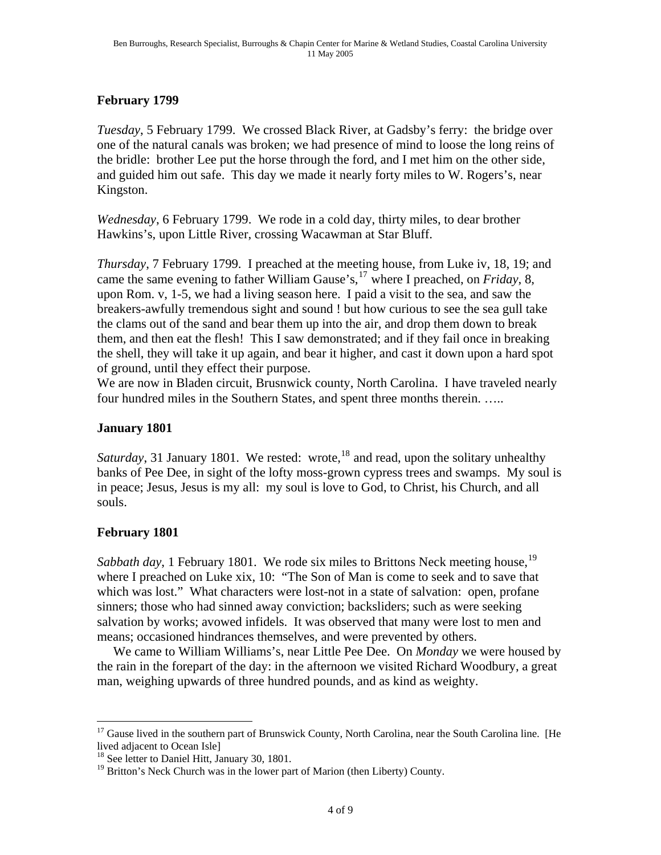### **February 1799**

*Tuesday*, 5 February 1799. We crossed Black River, at Gadsby's ferry: the bridge over one of the natural canals was broken; we had presence of mind to loose the long reins of the bridle: brother Lee put the horse through the ford, and I met him on the other side, and guided him out safe. This day we made it nearly forty miles to W. Rogers's, near Kingston.

*Wednesday*, 6 February 1799. We rode in a cold day, thirty miles, to dear brother Hawkins's, upon Little River, crossing Wacawman at Star Bluff.

*Thursday*, 7 February 1799. I preached at the meeting house, from Luke iv, 18, 19; and came the same evening to father William Gause's,[17](#page-3-0) where I preached, on *Friday*, 8, upon Rom. v, 1-5, we had a living season here. I paid a visit to the sea, and saw the breakers-awfully tremendous sight and sound ! but how curious to see the sea gull take the clams out of the sand and bear them up into the air, and drop them down to break them, and then eat the flesh! This I saw demonstrated; and if they fail once in breaking the shell, they will take it up again, and bear it higher, and cast it down upon a hard spot of ground, until they effect their purpose.

We are now in Bladen circuit, Brusnwick county, North Carolina. I have traveled nearly four hundred miles in the Southern States, and spent three months therein. …..

### **January 1801**

*Saturday*, 31 January [18](#page-3-1)01. We rested: wrote,<sup>18</sup> and read, upon the solitary unhealthy banks of Pee Dee, in sight of the lofty moss-grown cypress trees and swamps. My soul is in peace; Jesus, Jesus is my all: my soul is love to God, to Christ, his Church, and all souls.

## **February 1801**

<u>.</u>

*Sabbath day*, 1 February 1801. We rode six miles to Brittons Neck meeting house, <sup>[19](#page-3-2)</sup> where I preached on Luke xix, 10: "The Son of Man is come to seek and to save that which was lost." What characters were lost-not in a state of salvation: open, profane sinners; those who had sinned away conviction; backsliders; such as were seeking salvation by works; avowed infidels. It was observed that many were lost to men and means; occasioned hindrances themselves, and were prevented by others.

 We came to William Williams's, near Little Pee Dee. On *Monday* we were housed by the rain in the forepart of the day: in the afternoon we visited Richard Woodbury, a great man, weighing upwards of three hundred pounds, and as kind as weighty.

<span id="page-3-0"></span><sup>&</sup>lt;sup>17</sup> Gause lived in the southern part of Brunswick County, North Carolina, near the South Carolina line. [He lived adjacent to Ocean Isle]

<span id="page-3-1"></span><sup>&</sup>lt;sup>18</sup> See letter to Daniel Hitt, January 30, 1801.

<span id="page-3-2"></span><sup>&</sup>lt;sup>19</sup> Britton's Neck Church was in the lower part of Marion (then Liberty) County.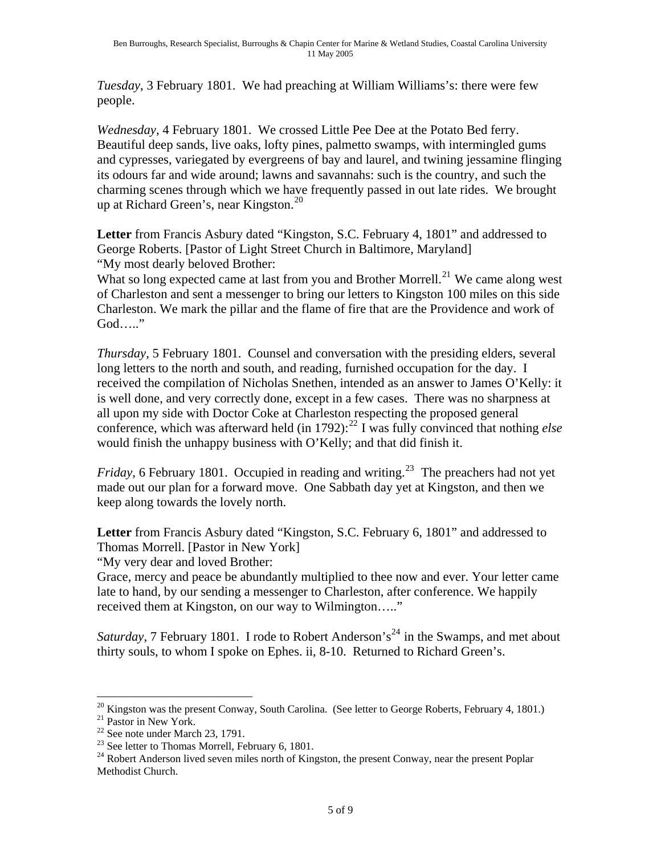*Tuesday*, 3 February 1801. We had preaching at William Williams's: there were few people.

*Wednesday*, 4 February 1801. We crossed Little Pee Dee at the Potato Bed ferry. Beautiful deep sands, live oaks, lofty pines, palmetto swamps, with intermingled gums and cypresses, variegated by evergreens of bay and laurel, and twining jessamine flinging its odours far and wide around; lawns and savannahs: such is the country, and such the charming scenes through which we have frequently passed in out late rides. We brought up at Richard Green's, near Kingston. $^{20}$  $^{20}$  $^{20}$ 

**Letter** from Francis Asbury dated "Kingston, S.C. February 4, 1801" and addressed to George Roberts. [Pastor of Light Street Church in Baltimore, Maryland] "My most dearly beloved Brother:

What so long expected came at last from you and Brother Morrell.<sup>[21](#page-4-1)</sup> We came along west of Charleston and sent a messenger to bring our letters to Kingston 100 miles on this side Charleston. We mark the pillar and the flame of fire that are the Providence and work of God….."

*Thursday*, 5 February 1801. Counsel and conversation with the presiding elders, several long letters to the north and south, and reading, furnished occupation for the day. I received the compilation of Nicholas Snethen, intended as an answer to James O'Kelly: it is well done, and very correctly done, except in a few cases. There was no sharpness at all upon my side with Doctor Coke at Charleston respecting the proposed general conference, which was afterward held (in 1792):<sup>22</sup> I was fully convinced that nothing *else* would finish the unhappy business with O'Kelly; and that did finish it.

*Friday*, 6 February 1801. Occupied in reading and writing.<sup>[23](#page-4-3)</sup> The preachers had not yet made out our plan for a forward move. One Sabbath day yet at Kingston, and then we keep along towards the lovely north.

**Letter** from Francis Asbury dated "Kingston, S.C. February 6, 1801" and addressed to Thomas Morrell. [Pastor in New York]

"My very dear and loved Brother:

Grace, mercy and peace be abundantly multiplied to thee now and ever. Your letter came late to hand, by our sending a messenger to Charleston, after conference. We happily received them at Kingston, on our way to Wilmington….."

*Saturday*, 7 February 1801. I rode to Robert Anderson's<sup>[24](#page-4-4)</sup> in the Swamps, and met about thirty souls, to whom I spoke on Ephes. ii, 8-10. Returned to Richard Green's.

 $\overline{a}$  $20$  Kingston was the present Conway, South Carolina. (See letter to George Roberts, February 4, 1801.)

<span id="page-4-1"></span><span id="page-4-0"></span><sup>&</sup>lt;sup>21</sup> Pastor in New York.

<span id="page-4-2"></span><sup>22</sup> See note under March 23, 1791.

<span id="page-4-3"></span> $23$  See letter to Thomas Morrell, February 6, 1801.

<span id="page-4-4"></span> $24$  Robert Anderson lived seven miles north of Kingston, the present Conway, near the present Poplar Methodist Church.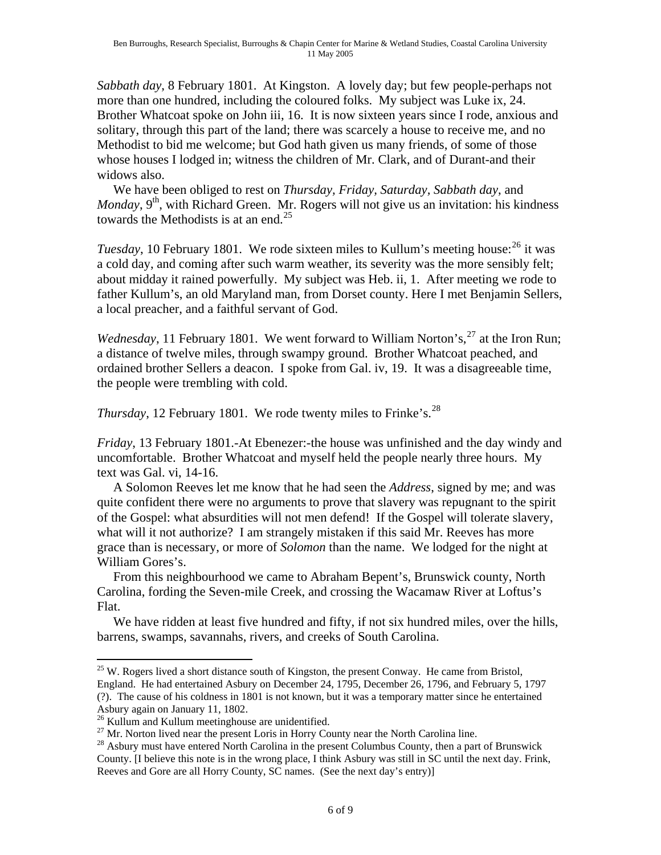*Sabbath day*, 8 February 1801. At Kingston. A lovely day; but few people-perhaps not more than one hundred, including the coloured folks. My subject was Luke ix, 24. Brother Whatcoat spoke on John iii, 16. It is now sixteen years since I rode, anxious and solitary, through this part of the land; there was scarcely a house to receive me, and no Methodist to bid me welcome; but God hath given us many friends, of some of those whose houses I lodged in; witness the children of Mr. Clark, and of Durant-and their widows also.

 We have been obliged to rest on *Thursday, Friday, Saturday, Sabbath day*, and *Monday*, 9<sup>th</sup>, with Richard Green. Mr. Rogers will not give us an invitation: his kindness towards the Methodists is at an end.<sup>[25](#page-5-0)</sup>

*Tuesday*, 10 February 1801. We rode sixteen miles to Kullum's meeting house:<sup>[26](#page-5-1)</sup> it was a cold day, and coming after such warm weather, its severity was the more sensibly felt; about midday it rained powerfully. My subject was Heb. ii, 1. After meeting we rode to father Kullum's, an old Maryland man, from Dorset county. Here I met Benjamin Sellers, a local preacher, and a faithful servant of God.

*Wednesday*, 11 February 1801. We went forward to William Norton's,  $27$  at the Iron Run; a distance of twelve miles, through swampy ground. Brother Whatcoat peached, and ordained brother Sellers a deacon. I spoke from Gal. iv, 19. It was a disagreeable time, the people were trembling with cold.

*Thursday*, 12 February 1801. We rode twenty miles to Frinke's.<sup>[28](#page-5-3)</sup>

*Friday*, 13 February 1801.-At Ebenezer:-the house was unfinished and the day windy and uncomfortable. Brother Whatcoat and myself held the people nearly three hours. My text was Gal. vi, 14-16.

 A Solomon Reeves let me know that he had seen the *Address*, signed by me; and was quite confident there were no arguments to prove that slavery was repugnant to the spirit of the Gospel: what absurdities will not men defend! If the Gospel will tolerate slavery, what will it not authorize? I am strangely mistaken if this said Mr. Reeves has more grace than is necessary, or more of *Solomon* than the name. We lodged for the night at William Gores's.

 From this neighbourhood we came to Abraham Bepent's, Brunswick county, North Carolina, fording the Seven-mile Creek, and crossing the Wacamaw River at Loftus's Flat.

 We have ridden at least five hundred and fifty, if not six hundred miles, over the hills, barrens, swamps, savannahs, rivers, and creeks of South Carolina.

<span id="page-5-0"></span> $\overline{a}$  $25$  W. Rogers lived a short distance south of Kingston, the present Conway. He came from Bristol, England. He had entertained Asbury on December 24, 1795, December 26, 1796, and February 5, 1797 (?). The cause of his coldness in 1801 is not known, but it was a temporary matter since he entertained Asbury again on January 11, 1802.

<span id="page-5-1"></span><sup>&</sup>lt;sup>26</sup> Kullum and Kullum meetinghouse are unidentified.

<span id="page-5-2"></span> $27$  Mr. Norton lived near the present Loris in Horry County near the North Carolina line.

<span id="page-5-3"></span><sup>&</sup>lt;sup>28</sup> Asbury must have entered North Carolina in the present Columbus County, then a part of Brunswick County. [I believe this note is in the wrong place, I think Asbury was still in SC until the next day. Frink, Reeves and Gore are all Horry County, SC names. (See the next day's entry)]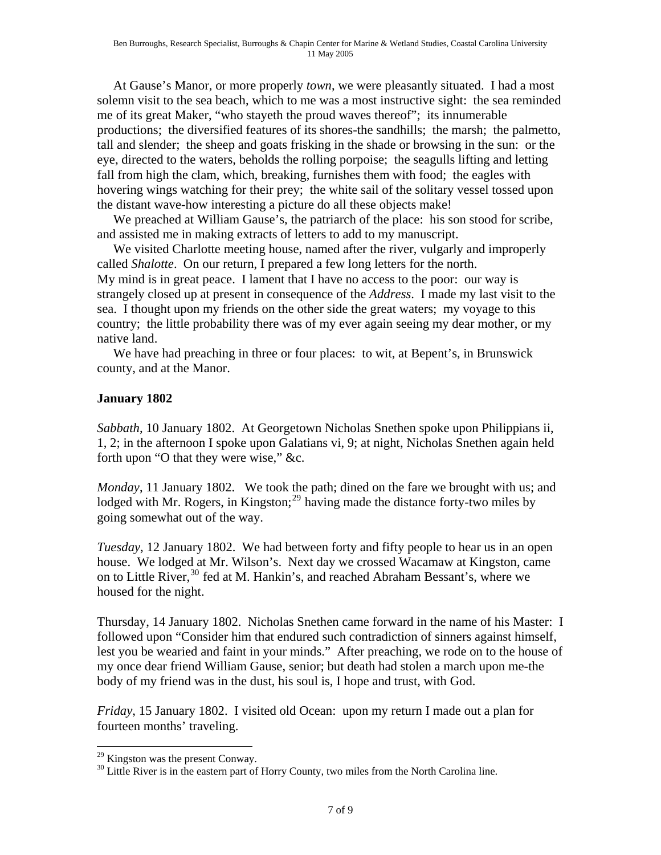At Gause's Manor, or more properly *town*, we were pleasantly situated. I had a most solemn visit to the sea beach, which to me was a most instructive sight: the sea reminded me of its great Maker, "who stayeth the proud waves thereof"; its innumerable productions; the diversified features of its shores-the sandhills; the marsh; the palmetto, tall and slender; the sheep and goats frisking in the shade or browsing in the sun: or the eye, directed to the waters, beholds the rolling porpoise; the seagulls lifting and letting fall from high the clam, which, breaking, furnishes them with food; the eagles with hovering wings watching for their prey; the white sail of the solitary vessel tossed upon the distant wave-how interesting a picture do all these objects make!

 We preached at William Gause's, the patriarch of the place: his son stood for scribe, and assisted me in making extracts of letters to add to my manuscript.

 We visited Charlotte meeting house, named after the river, vulgarly and improperly called *Shalotte*. On our return, I prepared a few long letters for the north. My mind is in great peace. I lament that I have no access to the poor: our way is strangely closed up at present in consequence of the *Address*. I made my last visit to the sea. I thought upon my friends on the other side the great waters; my voyage to this country; the little probability there was of my ever again seeing my dear mother, or my native land.

 We have had preaching in three or four places: to wit, at Bepent's, in Brunswick county, and at the Manor.

### **January 1802**

*Sabbath*, 10 January 1802. At Georgetown Nicholas Snethen spoke upon Philippians ii, 1, 2; in the afternoon I spoke upon Galatians vi, 9; at night, Nicholas Snethen again held forth upon "O that they were wise," &c.

*Monday*, 11 January 1802. We took the path; dined on the fare we brought with us; and lodged with Mr. Rogers, in Kingston;<sup>[29](#page-6-0)</sup> having made the distance forty-two miles by going somewhat out of the way.

*Tuesday*, 12 January 1802. We had between forty and fifty people to hear us in an open house. We lodged at Mr. Wilson's. Next day we crossed Wacamaw at Kingston, came on to Little River,<sup>[30](#page-6-1)</sup> fed at M. Hankin's, and reached Abraham Bessant's, where we housed for the night.

Thursday, 14 January 1802. Nicholas Snethen came forward in the name of his Master: I followed upon "Consider him that endured such contradiction of sinners against himself, lest you be wearied and faint in your minds." After preaching, we rode on to the house of my once dear friend William Gause, senior; but death had stolen a march upon me-the body of my friend was in the dust, his soul is, I hope and trust, with God.

*Friday*, 15 January 1802. I visited old Ocean: upon my return I made out a plan for fourteen months' traveling.

 $\overline{a}$ 

<span id="page-6-0"></span><sup>&</sup>lt;sup>29</sup> Kingston was the present Conway.

<span id="page-6-1"></span> $30$  Little River is in the eastern part of Horry County, two miles from the North Carolina line.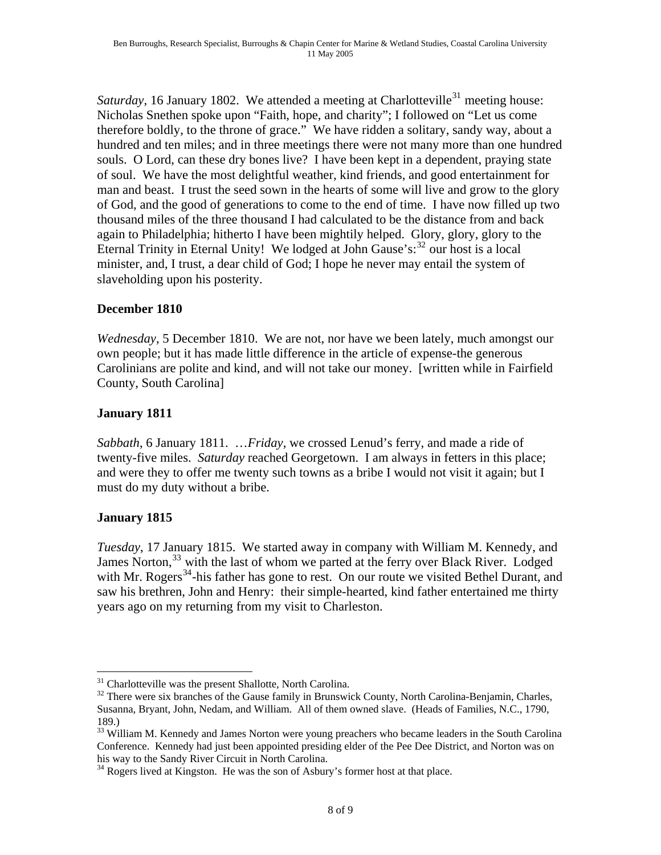*Saturday*, 16 January 1802. We attended a meeting at Charlotteville<sup>[31](#page-7-0)</sup> meeting house: Nicholas Snethen spoke upon "Faith, hope, and charity"; I followed on "Let us come therefore boldly, to the throne of grace." We have ridden a solitary, sandy way, about a hundred and ten miles; and in three meetings there were not many more than one hundred souls. O Lord, can these dry bones live? I have been kept in a dependent, praying state of soul. We have the most delightful weather, kind friends, and good entertainment for man and beast. I trust the seed sown in the hearts of some will live and grow to the glory of God, and the good of generations to come to the end of time. I have now filled up two thousand miles of the three thousand I had calculated to be the distance from and back again to Philadelphia; hitherto I have been mightily helped. Glory, glory, glory to the Eternal Trinity in Eternal Unity! We lodged at John Gause's: $32$  our host is a local minister, and, I trust, a dear child of God; I hope he never may entail the system of slaveholding upon his posterity.

### **December 1810**

*Wednesday*, 5 December 1810. We are not, nor have we been lately, much amongst our own people; but it has made little difference in the article of expense-the generous Carolinians are polite and kind, and will not take our money. [written while in Fairfield County, South Carolina]

### **January 1811**

*Sabbath*, 6 January 1811. …*Friday*, we crossed Lenud's ferry, and made a ride of twenty-five miles. *Saturday* reached Georgetown. I am always in fetters in this place; and were they to offer me twenty such towns as a bribe I would not visit it again; but I must do my duty without a bribe.

#### **January 1815**

 $\overline{a}$ 

*Tuesday*, 17 January 1815. We started away in company with William M. Kennedy, and James Norton,<sup>[33](#page-7-2)</sup> with the last of whom we parted at the ferry over Black River. Lodged with Mr. Rogers<sup>[34](#page-7-3)</sup>-his father has gone to rest. On our route we visited Bethel Durant, and saw his brethren, John and Henry: their simple-hearted, kind father entertained me thirty years ago on my returning from my visit to Charleston.

<sup>&</sup>lt;sup>31</sup> Charlotteville was the present Shallotte, North Carolina.

<span id="page-7-1"></span><span id="page-7-0"></span><sup>&</sup>lt;sup>32</sup> There were six branches of the Gause family in Brunswick County, North Carolina-Benjamin, Charles, Susanna, Bryant, John, Nedam, and William. All of them owned slave. (Heads of Families, N.C., 1790, 189.)

<span id="page-7-2"></span><sup>&</sup>lt;sup>33</sup> William M. Kennedy and James Norton were young preachers who became leaders in the South Carolina Conference. Kennedy had just been appointed presiding elder of the Pee Dee District, and Norton was on his way to the Sandy River Circuit in North Carolina.

<span id="page-7-3"></span> $34$  Rogers lived at Kingston. He was the son of Asbury's former host at that place.